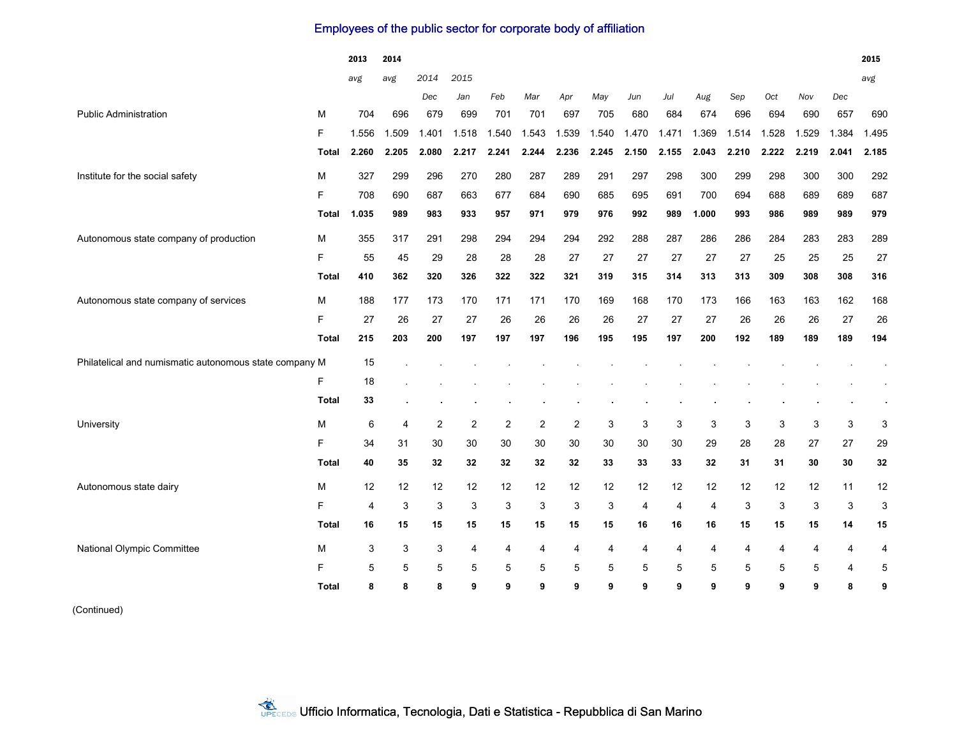## Employees of the public sector for corporate body of affiliation

|                                                        |              | 2013  | 2014                      |       |                |                |       |                |       |                |       |                |       |       |       |                | 2015  |
|--------------------------------------------------------|--------------|-------|---------------------------|-------|----------------|----------------|-------|----------------|-------|----------------|-------|----------------|-------|-------|-------|----------------|-------|
|                                                        |              | avg   | avg                       | 2014  | 2015           |                |       |                |       |                |       |                |       |       |       |                | avg   |
|                                                        |              |       |                           | Dec   | Jan            | Feb            | Mar   | Apr            | May   | Jun            | Jul   | Aug            | Sep   | Oct   | Nov   | Dec            |       |
| <b>Public Administration</b>                           | м            | 704   | 696                       | 679   | 699            | 701            | 701   | 697            | 705   | 680            | 684   | 674            | 696   | 694   | 690   | 657            | 690   |
|                                                        | F            | 1.556 | 1.509                     | 1.401 | 1.518          | .540           | 1.543 | 1.539          | 1.540 | 1.470          | 1.471 | 1.369          | 1.514 | 1.528 | 1.529 | 1.384          | 1.495 |
|                                                        | Total        | 2.260 | 2.205                     | 2.080 | 2.217          | 2.241          | 2.244 | 2.236          | 2.245 | 2.150          | 2.155 | 2.043          | 2.210 | 2.222 | 2.219 | 2.041          | 2.185 |
| Institute for the social safety                        | M            | 327   | 299                       | 296   | 270            | 280            | 287   | 289            | 291   | 297            | 298   | 300            | 299   | 298   | 300   | 300            | 292   |
|                                                        | F            | 708   | 690                       | 687   | 663            | 677            | 684   | 690            | 685   | 695            | 691   | 700            | 694   | 688   | 689   | 689            | 687   |
|                                                        | Total        | 1.035 | 989                       | 983   | 933            | 957            | 971   | 979            | 976   | 992            | 989   | 1.000          | 993   | 986   | 989   | 989            | 979   |
| Autonomous state company of production                 | M            | 355   | 317                       | 291   | 298            | 294            | 294   | 294            | 292   | 288            | 287   | 286            | 286   | 284   | 283   | 283            | 289   |
|                                                        | F            | 55    | 45                        | 29    | 28             | 28             | 28    | 27             | 27    | 27             | 27    | 27             | 27    | 25    | 25    | 25             | 27    |
|                                                        | <b>Total</b> | 410   | 362                       | 320   | 326            | 322            | 322   | 321            | 319   | 315            | 314   | 313            | 313   | 309   | 308   | 308            | 316   |
| Autonomous state company of services                   | м            | 188   | 177                       | 173   | 170            | 171            | 171   | 170            | 169   | 168            | 170   | 173            | 166   | 163   | 163   | 162            | 168   |
|                                                        | F            | 27    | 26                        | 27    | 27             | 26             | 26    | 26             | 26    | 27             | 27    | 27             | 26    | 26    | 26    | 27             | 26    |
|                                                        | Total        | 215   | 203                       | 200   | 197            | 197            | 197   | 196            | 195   | 195            | 197   | 200            | 192   | 189   | 189   | 189            | 194   |
| Philatelical and numismatic autonomous state company M |              | 15    |                           |       |                |                |       |                |       |                |       |                |       |       |       |                |       |
|                                                        | F            | 18    |                           |       |                |                |       |                |       |                |       |                |       |       |       |                |       |
|                                                        | <b>Total</b> | 33    |                           |       |                |                |       |                |       |                |       |                |       |       |       |                |       |
| University                                             | M            | 6     | 4                         | 2     | $\overline{2}$ | $\overline{2}$ | 2     | $\overline{2}$ | 3     | 3              | 3     | 3              | 3     | 3     | 3     | 3              | 3     |
|                                                        | F            | 34    | 31                        | 30    | 30             | 30             | 30    | 30             | 30    | 30             | 30    | 29             | 28    | 28    | 27    | 27             | 29    |
|                                                        | Total        | 40    | 35                        | 32    | 32             | 32             | 32    | 32             | 33    | 33             | 33    | 32             | 31    | 31    | 30    | 30             | 32    |
| Autonomous state dairy                                 | M            | 12    | 12                        | 12    | 12             | 12             | 12    | 12             | 12    | 12             | 12    | 12             | 12    | 12    | 12    | 11             | 12    |
|                                                        | F            | 4     | 3                         | 3     | 3              | 3              | 3     | 3              | 3     | $\overline{4}$ | 4     | $\overline{4}$ | 3     | 3     | 3     | 3              | 3     |
|                                                        | Total        | 16    | 15                        | 15    | 15             | 15             | 15    | 15             | 15    | 16             | 16    | 16             | 15    | 15    | 15    | 14             | 15    |
| National Olympic Committee                             | M            | 3     | $\ensuremath{\mathsf{3}}$ | 3     | $\overline{4}$ | 4              | 4     | 4              | 4     | 4              | 4     | 4              | 4     | 4     | 4     | $\overline{4}$ | 4     |
|                                                        | F            | 5     | 5                         | 5     | 5              | 5              | 5     | 5              | 5     | 5              | 5     | 5              | 5     | 5     | 5     | 4              | 5     |
|                                                        | <b>Total</b> | 8     | 8                         | 8     | 9              | 9              | 9     | 9              | 9     | 9              | 9     | 9              | 9     | 9     | 9     | 8              | 9     |

(Continued)